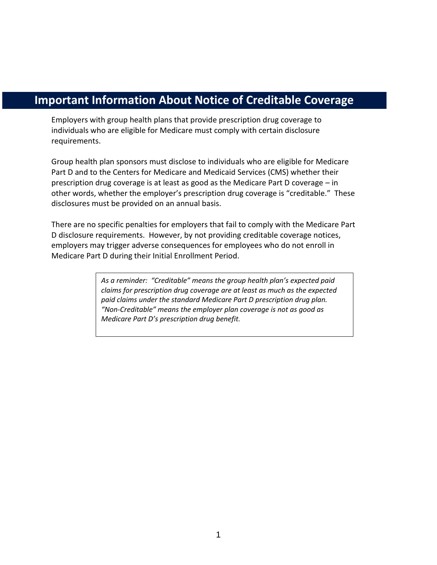# **Important Information About Notice of Creditable Coverage**

Employers with group health plans that provide prescription drug coverage to individuals who are eligible for Medicare must comply with certain disclosure requirements.

Group health plan sponsors must disclose to individuals who are eligible for Medicare Part D and to the Centers for Medicare and Medicaid Services (CMS) whether their prescription drug coverage is at least as good as the Medicare Part D coverage – in other words, whether the employer's prescription drug coverage is "creditable." These disclosures must be provided on an annual basis.

There are no specific penalties for employers that fail to comply with the Medicare Part D disclosure requirements. However, by not providing creditable coverage notices, employers may trigger adverse consequences for employees who do not enroll in Medicare Part D during their Initial Enrollment Period.

> *As a reminder: "Creditable" means the group health plan's expected paid claims for prescription drug coverage are at least as much as the expected paid claims under the standard Medicare Part D prescription drug plan. "Non-Creditable" means the employer plan coverage is not as good as Medicare Part D's prescription drug benefit.*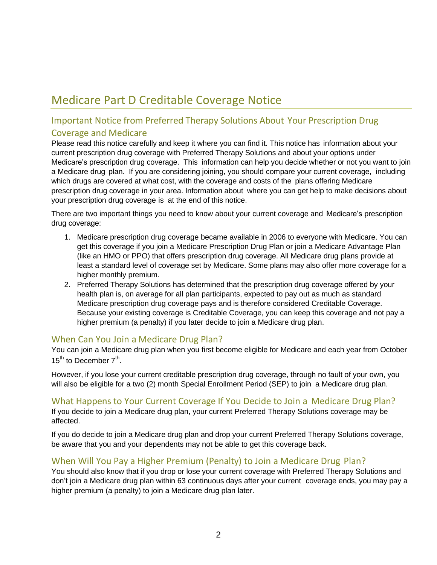## Medicare Part D Creditable Coverage Notice

## Important Notice from Preferred Therapy Solutions About Your Prescription Drug Coverage and Medicare

Please read this notice carefully and keep it where you can find it. This notice has information about your current prescription drug coverage with Preferred Therapy Solutions and about your options under Medicare's prescription drug coverage. This information can help you decide whether or not you want to join a Medicare drug plan. If you are considering joining, you should compare your current coverage, including which drugs are covered at what cost, with the coverage and costs of the plans offering Medicare prescription drug coverage in your area. Information about where you can get help to make decisions about your prescription drug coverage is at the end of this notice.

There are two important things you need to know about your current coverage and Medicare's prescription drug coverage:

- 1. Medicare prescription drug coverage became available in 2006 to everyone with Medicare. You can get this coverage if you join a Medicare Prescription Drug Plan or join a Medicare Advantage Plan (like an HMO or PPO) that offers prescription drug coverage. All Medicare drug plans provide at least a standard level of coverage set by Medicare. Some plans may also offer more coverage for a higher monthly premium.
- 2. Preferred Therapy Solutions has determined that the prescription drug coverage offered by your health plan is, on average for all plan participants, expected to pay out as much as standard Medicare prescription drug coverage pays and is therefore considered Creditable Coverage. Because your existing coverage is Creditable Coverage, you can keep this coverage and not pay a higher premium (a penalty) if you later decide to join a Medicare drug plan.

#### When Can You Join a Medicare Drug Plan?

You can join a Medicare drug plan when you first become eligible for Medicare and each year from October 15<sup>th</sup> to December  $7<sup>th</sup>$ .

However, if you lose your current creditable prescription drug coverage, through no fault of your own, you will also be eligible for a two (2) month Special Enrollment Period (SEP) to join a Medicare drug plan.

#### What Happens to Your Current Coverage If You Decide to Join a Medicare Drug Plan?

If you decide to join a Medicare drug plan, your current Preferred Therapy Solutions coverage may be affected.

If you do decide to join a Medicare drug plan and drop your current Preferred Therapy Solutions coverage, be aware that you and your dependents may not be able to get this coverage back.

#### When Will You Pay a Higher Premium (Penalty) to Join a Medicare Drug Plan?

You should also know that if you drop or lose your current coverage with Preferred Therapy Solutions and don't join a Medicare drug plan within 63 continuous days after your current coverage ends, you may pay a higher premium (a penalty) to join a Medicare drug plan later.